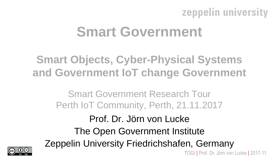# **Smart Government**

**Smart Objects, Cyber-Physical Systems and Government IoT change Government**

> Smart Government Research Tour Perth IoT Community, Perth, 21.11.2017

TOGI | Prof. Dr. Jörn von Lucke | 2017-11 Prof. Dr. Jörn von Lucke The Open Government Institute Zeppelin University Friedrichshafen, Germany

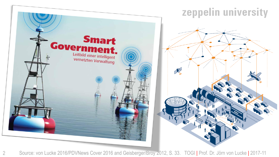

[Source: von Lucke 2016/PDVNews](https://www.pdv.de/fileadmin/user_upload/pdv_kundenmagazin_1_2016.pdf) Cover 2016 and Geisberger/Broy 2012, S. 33. TOGI | Prof. Dr. Jörn von Lucke | 2017-11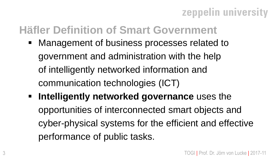## **Häfler Definition of Smart Government**

- Management of business processes related to government and administration with the help of intelligently networked information and communication technologies (ICT)
- **EXP** Intelligently networked governance uses the opportunities of interconnected smart objects and cyber-physical systems for the efficient and effective performance of public tasks.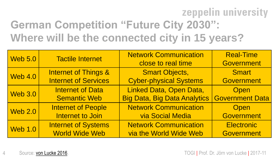# zeppelin university **German Competition "Future City 2030": Where will be the connected city in 15 years?**

| <b>Web 5.0</b> | <b>Tactile Internet</b>         | <b>Network Communication</b>        | <b>Real-Time</b>       |
|----------------|---------------------------------|-------------------------------------|------------------------|
|                |                                 | close to real time                  | <b>Government</b>      |
| <b>Web 4.0</b> | <b>Internet of Things &amp;</b> | <b>Smart Objects,</b>               | <b>Smart</b>           |
|                | <b>Internet of Services</b>     | <b>Cyber-physical Systems</b>       | <b>Government</b>      |
| <b>Web 3.0</b> | <b>Internet of Data</b>         | Linked Data, Open Data,             | <b>Open</b>            |
|                | <b>Semantic Web</b>             | <b>Big Data, Big Data Analytics</b> | <b>Government Data</b> |
| <b>Web 2.0</b> | <b>Internet of People</b>       | <b>Network Communication</b>        | Open                   |
|                | Internet to Join                | <b>via Social Media</b>             | <b>Government</b>      |
| <b>Web 1.0</b> | <b>Internet of Systems</b>      | <b>Network Communication</b>        | <b>Electronic</b>      |
|                | <b>World Wide Web</b>           | via the World Wide Web              | <b>Government</b>      |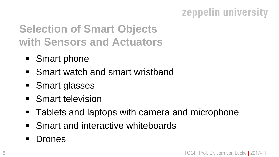# **Selection of Smart Objects with Sensors and Actuators**

- Smart phone
- Smart watch and smart wristband
- Smart glasses
- Smart television
- Tablets and laptops with camera and microphone
- Smart and interactive whiteboards
- Drones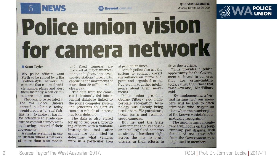The Mest Australian Monday, November 20, 2017



# **Police union vision** for camera network

will thewest.com.au

#### **Grant Taylor**

WA police officers want Perth to be ringed by a Big Brother-style network of cameras that can read vehicle numberplates and alert them instantly when criminals are on the move.

**NEWS** 

The idea, to be revealed at the WA Police Union's annual conference today, would create a "virtual fishing net" to make it harder for offenders to evade capture or commit crimes without leaving a record of their movements.

A similar system is in use in Britain where a network of more than 8500 mobile

and fixed cameras are installed at major intersections, on highways and even service stations' forecourts, capturing the movements of more than 30 million vehicles a day.

The data from the cameras is instantly fed into a central database linked to the police computer system and generates an alert as soon as a vehicle of interest has been detected.

The data is also stored for up to two years, providing officers with a valuable investigative tool after crimes are committed to determine what vehicles were in a particular area

at particular times.

British police also use the system to conduct covert surveillance on terror suspects and organised crime figures, and to gather intelligence about their movements.

Police union president George Tilbury said numberplate recognition technology was already being used in some WA patrol cars, booze buses and roadside speed cameras.

But he said the State Government should consider installing fixed cameras at strategic locations right across the city to assist officers in their efforts to

drive down crime.

"This provides a golden" opportunity for the Government to invest in cameras that are crime-fighting tools, rather than those that raise revenue," Mr Tilbury said.

"By implementing a 'virtual fishing net', our members will be able to catch criminals who trigger an alert when the numberplate of the known vehicle is automatically recognised."

The union's annual conference will focus on the longrunning pay dispute, with details of the latest offer from the Government to be explained to members.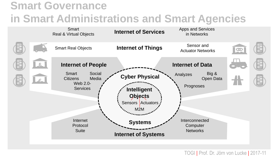# **Smart Governance in Smart Administrations and Smart Agencies**



TOGI | Prof. Dr. Jörn von Lucke | 2017-11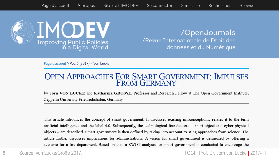

/OpenJournals /Revue Internationale de Droit des données et du Numérique

#### Page d'accueil > Vol. 3 (2017) > Von Lucke

# **OPEN APPROACHES FOR SMART GOVERNMENT: IMPULSES**<br>FROM GERMANY

by Jörn VON LUCKE and Katharina GROSSE, Professor and Research Fellow at The Open Government Institute, Zeppelin University Friedrichshafen, Germany.

This article introduces the concept of smart government. It discusses existing misconceptions, relates it to the term artificial intelligence and the label 4.0. Subsequently, the technological foundations – smart object and cyber-physical objects – are described. Smart government is then defined by taking into account existing approaches from science. The article further discusses implications for administrations. A vision for smart government is delineated by offering a scenario for a fire department. Based on this, a SWOT analysis for smart government is conducted to encourage the

#### 8 Source: von Lucke/Große 2017. TOGI | Prof. Dr. Jörn von Lucke | 2017-11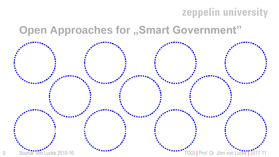### **Open Approaches for "Smart Government"**



9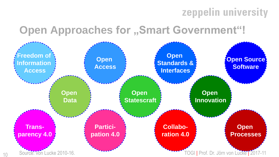### **Open Approaches for "Smart Government"!**

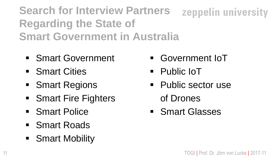**Search for Interview Partners** zeppelin university **Regarding the State of Smart Government in Australia**

- Smart Government
- Smart Cities
- Smart Regions
- Smart Fire Fighters
- Smart Police
- Smart Roads
- Smart Mobility
- Government IoT
- Public IoT
- Public sector use of Drones
- Smart Glasses